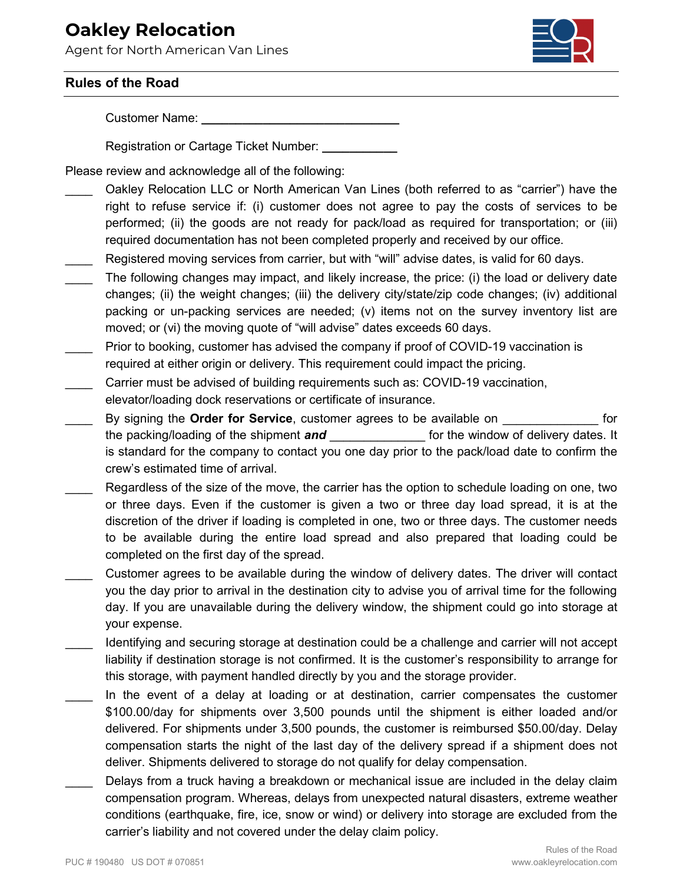## **Oakley Relocation**

Agent for North American Van Lines



## **Rules of the Road**

Customer Name: **\_\_\_\_\_\_\_\_\_\_\_\_\_\_\_\_\_\_\_\_\_\_\_\_\_\_\_\_\_**

Registration or Cartage Ticket Number: **\_\_\_\_\_\_\_\_\_\_\_**

Please review and acknowledge all of the following:

- Oakley Relocation LLC or North American Van Lines (both referred to as "carrier") have the right to refuse service if: (i) customer does not agree to pay the costs of services to be performed; (ii) the goods are not ready for pack/load as required for transportation; or (iii) required documentation has not been completed properly and received by our office.
- Registered moving services from carrier, but with "will" advise dates, is valid for 60 days.
- The following changes may impact, and likely increase, the price: (i) the load or delivery date changes; (ii) the weight changes; (iii) the delivery city/state/zip code changes; (iv) additional packing or un-packing services are needed; (v) items not on the survey inventory list are moved; or (vi) the moving quote of "will advise" dates exceeds 60 days.
- Prior to booking, customer has advised the company if proof of COVID-19 vaccination is required at either origin or delivery. This requirement could impact the pricing.
- Carrier must be advised of building requirements such as: COVID-19 vaccination, elevator/loading dock reservations or certificate of insurance.
- \_\_\_\_ By signing the **Order for Service**, customer agrees to be available on \_\_\_\_\_\_\_\_\_\_\_\_\_\_ for the packing/loading of the shipment **and the shipment of the window of delivery dates.** It is standard for the company to contact you one day prior to the pack/load date to confirm the crew's estimated time of arrival.
- Regardless of the size of the move, the carrier has the option to schedule loading on one, two or three days. Even if the customer is given a two or three day load spread, it is at the discretion of the driver if loading is completed in one, two or three days. The customer needs to be available during the entire load spread and also prepared that loading could be completed on the first day of the spread.
- \_\_\_\_ Customer agrees to be available during the window of delivery dates. The driver will contact you the day prior to arrival in the destination city to advise you of arrival time for the following day. If you are unavailable during the delivery window, the shipment could go into storage at your expense.
- Identifying and securing storage at destination could be a challenge and carrier will not accept liability if destination storage is not confirmed. It is the customer's responsibility to arrange for this storage, with payment handled directly by you and the storage provider.
- In the event of a delay at loading or at destination, carrier compensates the customer \$100.00/day for shipments over 3,500 pounds until the shipment is either loaded and/or delivered. For shipments under 3,500 pounds, the customer is reimbursed \$50.00/day. Delay compensation starts the night of the last day of the delivery spread if a shipment does not deliver. Shipments delivered to storage do not qualify for delay compensation.
- Delays from a truck having a breakdown or mechanical issue are included in the delay claim compensation program. Whereas, delays from unexpected natural disasters, extreme weather conditions (earthquake, fire, ice, snow or wind) or delivery into storage are excluded from the carrier's liability and not covered under the delay claim policy.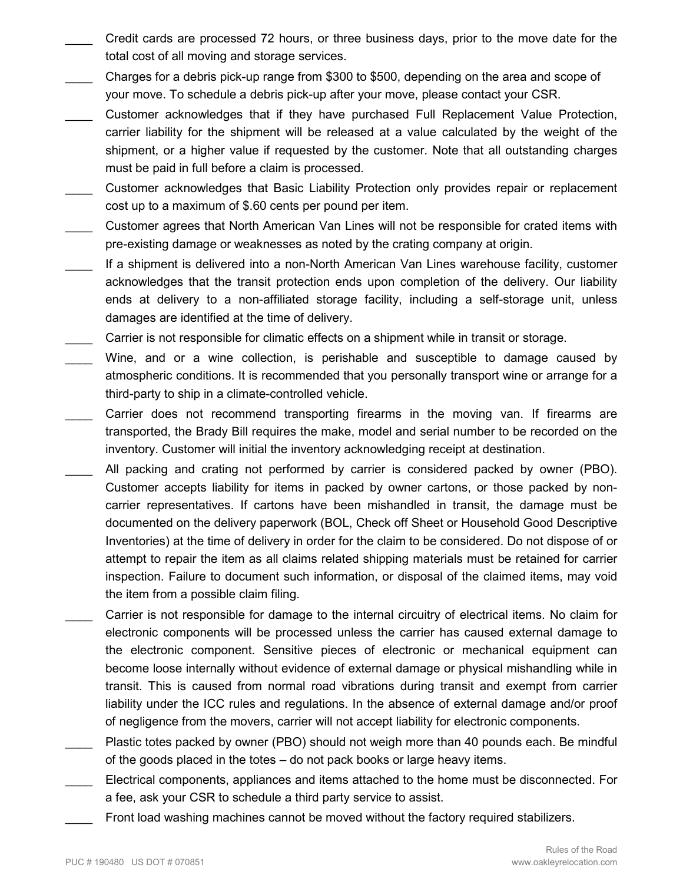- \_\_\_\_ Credit cards are processed 72 hours, or three business days, prior to the move date for the total cost of all moving and storage services.
- \_\_\_\_ Charges for a debris pick-up range from \$300 to \$500, depending on the area and scope of your move. To schedule a debris pick-up after your move, please contact your CSR.
- \_\_\_\_ Customer acknowledges that if they have purchased Full Replacement Value Protection, carrier liability for the shipment will be released at a value calculated by the weight of the shipment, or a higher value if requested by the customer. Note that all outstanding charges must be paid in full before a claim is processed.
- Customer acknowledges that Basic Liability Protection only provides repair or replacement cost up to a maximum of \$.60 cents per pound per item.
- \_\_\_\_ Customer agrees that North American Van Lines will not be responsible for crated items with pre-existing damage or weaknesses as noted by the crating company at origin.
- If a shipment is delivered into a non-North American Van Lines warehouse facility, customer acknowledges that the transit protection ends upon completion of the delivery. Our liability ends at delivery to a non-affiliated storage facility, including a self-storage unit, unless damages are identified at the time of delivery.
- Carrier is not responsible for climatic effects on a shipment while in transit or storage.
- Wine, and or a wine collection, is perishable and susceptible to damage caused by atmospheric conditions. It is recommended that you personally transport wine or arrange for a third-party to ship in a climate-controlled vehicle.
- Carrier does not recommend transporting firearms in the moving van. If firearms are transported, the Brady Bill requires the make, model and serial number to be recorded on the inventory. Customer will initial the inventory acknowledging receipt at destination.
- All packing and crating not performed by carrier is considered packed by owner (PBO). Customer accepts liability for items in packed by owner cartons, or those packed by noncarrier representatives. If cartons have been mishandled in transit, the damage must be documented on the delivery paperwork (BOL, Check off Sheet or Household Good Descriptive Inventories) at the time of delivery in order for the claim to be considered. Do not dispose of or attempt to repair the item as all claims related shipping materials must be retained for carrier inspection. Failure to document such information, or disposal of the claimed items, may void the item from a possible claim filing.
- Carrier is not responsible for damage to the internal circuitry of electrical items. No claim for electronic components will be processed unless the carrier has caused external damage to the electronic component. Sensitive pieces of electronic or mechanical equipment can become loose internally without evidence of external damage or physical mishandling while in transit. This is caused from normal road vibrations during transit and exempt from carrier liability under the ICC rules and regulations. In the absence of external damage and/or proof of negligence from the movers, carrier will not accept liability for electronic components.
- Plastic totes packed by owner (PBO) should not weigh more than 40 pounds each. Be mindful of the goods placed in the totes – do not pack books or large heavy items.
- Electrical components, appliances and items attached to the home must be disconnected. For a fee, ask your CSR to schedule a third party service to assist.
	- Front load washing machines cannot be moved without the factory required stabilizers.